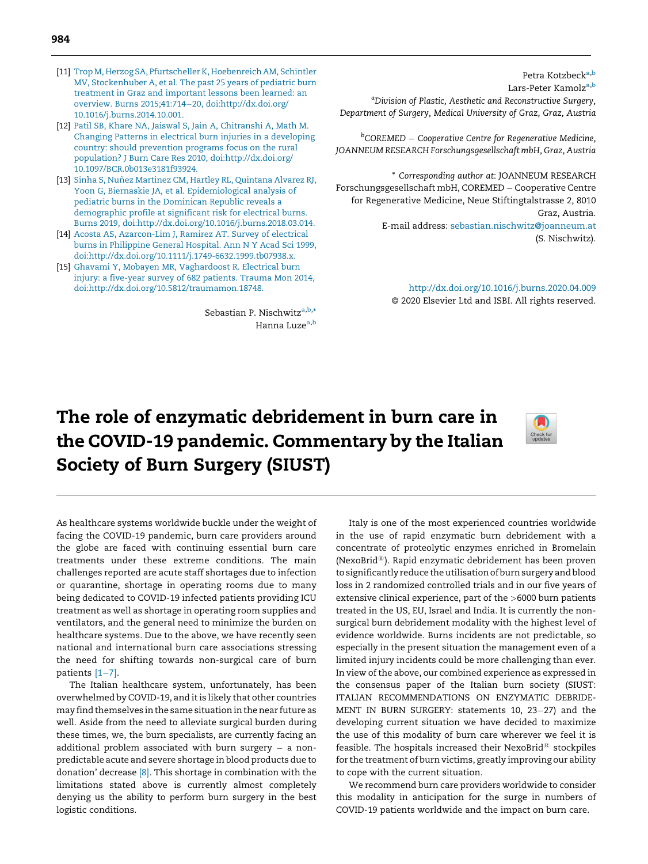- <span id="page-0-0"></span>[11] [Trop M, Herzog SA, Pfurtscheller K, Hoebenreich AM, Schintler](http://refhub.elsevier.com/S0305-4179(20)30308-9/sbref0055) [MV, Stockenhuber A, et al. The past 25 years of pediatric burn](http://refhub.elsevier.com/S0305-4179(20)30308-9/sbref0055) [treatment in Graz and important lessons been learned: an](http://refhub.elsevier.com/S0305-4179(20)30308-9/sbref0055) [overview. Burns 2015;41:714](http://refhub.elsevier.com/S0305-4179(20)30308-9/sbref0055)-20, doi:http://dx.doi.org/ [10.1016/j.burns.2014.10.001](http://dx.doi.org/10.12968/jowc.2017.26.7.381).
- [12] [Patil SB, Khare NA, Jaiswal S, Jain A, Chitranshi A, Math M.](http://refhub.elsevier.com/S0305-4179(20)30308-9/sbref0060) [Changing Patterns in electrical burn injuries in a developing](http://refhub.elsevier.com/S0305-4179(20)30308-9/sbref0060) [country: should prevention programs focus on the rural](http://refhub.elsevier.com/S0305-4179(20)30308-9/sbref0060) [population? J Burn Care Res 2010, doi:http://dx.doi.org/](http://refhub.elsevier.com/S0305-4179(20)30308-9/sbref0060) [10.1097/BCR.0b013e3181f93924.](http://dx.doi.org/10.1097/BCR.0b013e3181f93924)
- [13] [Sinha S, Nuñez Martinez CM, Hartley RL, Quintana Alvarez RJ,](http://refhub.elsevier.com/S0305-4179(20)30308-9/sbref0065) [Yoon G, Biernaskie JA, et al. Epidemiological analysis of](http://refhub.elsevier.com/S0305-4179(20)30308-9/sbref0065) [pediatric burns in the Dominican Republic reveals a](http://refhub.elsevier.com/S0305-4179(20)30308-9/sbref0065) [demographic profile at significant risk for electrical burns.](http://refhub.elsevier.com/S0305-4179(20)30308-9/sbref0065) [Burns 2019, doi:http://dx.doi.org/10.1016/j.burns.2018.03.014.](http://refhub.elsevier.com/S0305-4179(20)30308-9/sbref0065)
- [14] [Acosta AS, Azarcon-Lim J, Ramirez AT. Survey of electrical](http://refhub.elsevier.com/S0305-4179(20)30308-9/sbref0070) [burns in Philippine General Hospital. Ann N Y Acad Sci 1999,](http://refhub.elsevier.com/S0305-4179(20)30308-9/sbref0070) [doi:http://dx.doi.org/10.1111/j.1749-6632.1999.tb07938.x.](http://refhub.elsevier.com/S0305-4179(20)30308-9/sbref0070)
- [15] [Ghavami Y, Mobayen MR, Vaghardoost R. Electrical burn](http://refhub.elsevier.com/S0305-4179(20)30308-9/sbref0075) [injury: a five-year survey of 682 patients. Trauma Mon 2014,](http://refhub.elsevier.com/S0305-4179(20)30308-9/sbref0075) [doi:http://dx.doi.org/10.5812/traumamon.18748.](http://refhub.elsevier.com/S0305-4179(20)30308-9/sbref0075)

Sebastian P. Nischwitz<sup>a,b,\*</sup> Hanna Luze<sup>a,b</sup>

Petra Kotzbeck<sup>a,b</sup> Lars-Peter Kamolza,b a Division of Plastic, Aesthetic and Reconstructive Surgery, Department of Surgery, Medical University of Graz, Graz, Austria

<sup>b</sup>COREMED — Cooperative Centre for Regenerative Medicine, JOANNEUM RESEARCH Forschungsgesellschaft mbH, Graz, Austria

\* Corresponding author at: JOANNEUM RESEARCH Forschungsgesellschaft mbH, COREMED - Cooperative Centre for Regenerative Medicine, Neue Stiftingtalstrasse 2, 8010 Graz, Austria. E-mail address: [sebastian.nischwitz@joanneum.at](mailto:sebastian.nischwitz@joanneum.at) (S. Nischwitz).

> [http://dx.doi.org/10.1016/j.burns.2020.04.009](https://doi.org/10.1016/j.burns.2020.04.009) © 2020 Elsevier Ltd and ISBI. All rights reserved.

## The role of enzymatic debridement in burn care in the COVID-19 pandemic. Commentary by the Italian Society of Burn Surgery (SIUST)



As healthcare systems worldwide buckle under the weight of facing the COVID-19 pandemic, burn care providers around the globe are faced with continuing essential burn care treatments under these extreme conditions. The main challenges reported are acute staff shortages due to infection or quarantine, shortage in operating rooms due to many being dedicated to COVID-19 infected patients providing ICU treatment as well as shortage in operating room supplies and ventilators, and the general need to minimize the burden on healthcare systems. Due to the above, we have recently seen national and international burn care associations stressing the need for shifting towards non-surgical care of burn patients  $[1-7]$  $[1-7]$ .

The Italian healthcare system, unfortunately, has been overwhelmed by COVID-19, and it is likely that other countries may find themselves in the same situation in the near future as well. Aside from the need to alleviate surgical burden during these times, we, the burn specialists, are currently facing an additional problem associated with burn surgery  $-$  a nonpredictable acute and severe shortage in blood products due to donation' decrease [\[8\]](#page-1-0). This shortage in combination with the limitations stated above is currently almost completely denying us the ability to perform burn surgery in the best logistic conditions.

Italy is one of the most experienced countries worldwide in the use of rapid enzymatic burn debridement with a concentrate of proteolytic enzymes enriched in Bromelain (NexoBrid $\mathbb{B}$ ). Rapid enzymatic debridement has been proven to significantly reduce the utilisation of burn surgery and blood loss in 2 randomized controlled trials and in our five years of extensive clinical experience, part of the >6000 burn patients treated in the US, EU, Israel and India. It is currently the nonsurgical burn debridement modality with the highest level of evidence worldwide. Burns incidents are not predictable, so especially in the present situation the management even of a limited injury incidents could be more challenging than ever. In view of the above, our combined experience as expressed in the consensus paper of the Italian burn society (SIUST: ITALIAN RECOMMENDATIONS ON ENZYMATIC DEBRIDE-MENT IN BURN SURGERY: statements 10, 23-27) and the developing current situation we have decided to maximize the use of this modality of burn care wherever we feel it is feasible. The hospitals increased their NexoBrid $\mathbb B$  stockpiles for the treatment of burn victims, greatly improving our ability to cope with the current situation.

We recommend burn care providers worldwide to consider this modality in anticipation for the surge in numbers of COVID-19 patients worldwide and the impact on burn care.